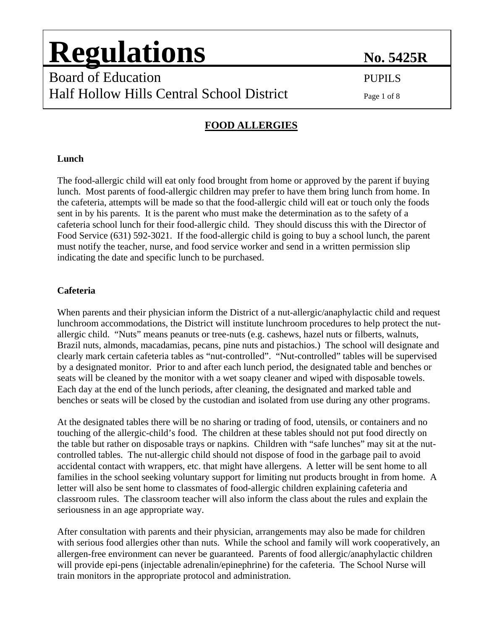## Board of Education PUPILS Board of Education PUPILS Half Hollow Hills Central School District Half Hollow Hills Central School District Page 1 of 8

### **FOOD ALLERGIES**

#### **Lunch**

The food-allergic child will eat only food brought from home or approved by the parent if buying lunch. Most parents of food-allergic children may prefer to have them bring lunch from home. In the cafeteria, attempts will be made so that the food-allergic child will eat or touch only the foods sent in by his parents. It is the parent who must make the determination as to the safety of a cafeteria school lunch for their food-allergic child. They should discuss this with the Director of Food Service (631) 592-3021. If the food-allergic child is going to buy a school lunch, the parent must notify the teacher, nurse, and food service worker and send in a written permission slip indicating the date and specific lunch to be purchased.

### **Cafeteria**

When parents and their physician inform the District of a nut-allergic/anaphylactic child and request lunchroom accommodations, the District will institute lunchroom procedures to help protect the nutallergic child. "Nuts" means peanuts or tree-nuts (e.g. cashews, hazel nuts or filberts, walnuts, Brazil nuts, almonds, macadamias, pecans, pine nuts and pistachios.) The school will designate and clearly mark certain cafeteria tables as "nut-controlled". "Nut-controlled" tables will be supervised by a designated monitor. Prior to and after each lunch period, the designated table and benches or seats will be cleaned by the monitor with a wet soapy cleaner and wiped with disposable towels. Each day at the end of the lunch periods, after cleaning, the designated and marked table and benches or seats will be closed by the custodian and isolated from use during any other programs.

At the designated tables there will be no sharing or trading of food, utensils, or containers and no touching of the allergic-child's food. The children at these tables should not put food directly on the table but rather on disposable trays or napkins. Children with "safe lunches" may sit at the nutcontrolled tables. The nut-allergic child should not dispose of food in the garbage pail to avoid accidental contact with wrappers, etc. that might have allergens. A letter will be sent home to all families in the school seeking voluntary support for limiting nut products brought in from home. A letter will also be sent home to classmates of food-allergic children explaining cafeteria and classroom rules. The classroom teacher will also inform the class about the rules and explain the seriousness in an age appropriate way.

After consultation with parents and their physician, arrangements may also be made for children with serious food allergies other than nuts. While the school and family will work cooperatively, an allergen-free environment can never be guaranteed. Parents of food allergic/anaphylactic children will provide epi-pens (injectable adrenalin/epinephrine) for the cafeteria. The School Nurse will train monitors in the appropriate protocol and administration.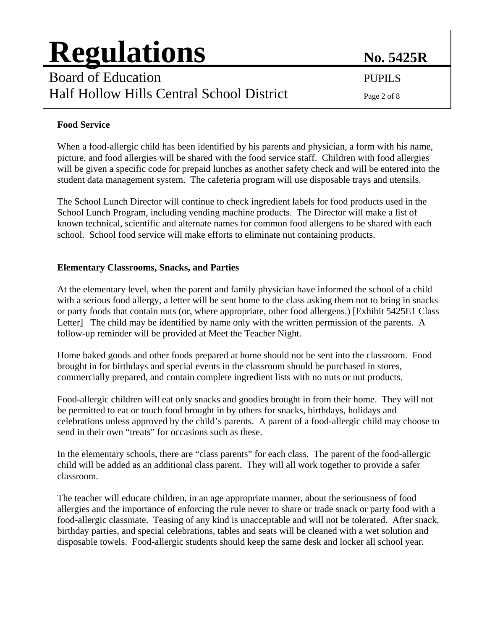## Board of Education PUPILS Board of Education PUPILS Half Hollow Hills Central School District Half Hollow Hills Central School District Page 2 of 8

### **Food Service**

When a food-allergic child has been identified by his parents and physician, a form with his name, picture, and food allergies will be shared with the food service staff. Children with food allergies will be given a specific code for prepaid lunches as another safety check and will be entered into the student data management system. The cafeteria program will use disposable trays and utensils.

The School Lunch Director will continue to check ingredient labels for food products used in the School Lunch Program, including vending machine products. The Director will make a list of known technical, scientific and alternate names for common food allergens to be shared with each school. School food service will make efforts to eliminate nut containing products.

### **Elementary Classrooms, Snacks, and Parties**

At the elementary level, when the parent and family physician have informed the school of a child with a serious food allergy, a letter will be sent home to the class asking them not to bring in snacks or party foods that contain nuts (or, where appropriate, other food allergens.) [Exhibit 5425E1 Class Letter] The child may be identified by name only with the written permission of the parents. A follow-up reminder will be provided at Meet the Teacher Night.

Home baked goods and other foods prepared at home should not be sent into the classroom. Food brought in for birthdays and special events in the classroom should be purchased in stores, commercially prepared, and contain complete ingredient lists with no nuts or nut products.

Food-allergic children will eat only snacks and goodies brought in from their home. They will not be permitted to eat or touch food brought in by others for snacks, birthdays, holidays and celebrations unless approved by the child's parents. A parent of a food-allergic child may choose to send in their own "treats" for occasions such as these.

In the elementary schools, there are "class parents" for each class. The parent of the food-allergic child will be added as an additional class parent. They will all work together to provide a safer classroom.

The teacher will educate children, in an age appropriate manner, about the seriousness of food allergies and the importance of enforcing the rule never to share or trade snack or party food with a food-allergic classmate. Teasing of any kind is unacceptable and will not be tolerated. After snack, birthday parties, and special celebrations, tables and seats will be cleaned with a wet solution and disposable towels. Food-allergic students should keep the same desk and locker all school year.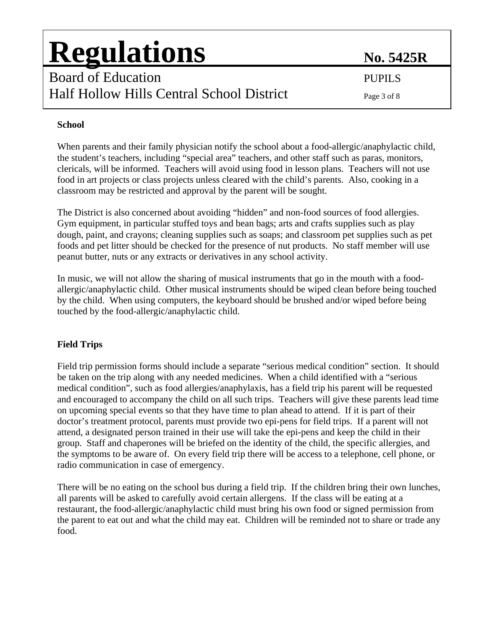## Board of Education PUPILS Board of Education PUPILS Half Hollow Hills Central School District Half Hollow Hills Central School District Page 3 of 8

### **School**

When parents and their family physician notify the school about a food-allergic/anaphylactic child, the student's teachers, including "special area" teachers, and other staff such as paras, monitors, clericals, will be informed. Teachers will avoid using food in lesson plans. Teachers will not use food in art projects or class projects unless cleared with the child's parents. Also, cooking in a classroom may be restricted and approval by the parent will be sought.

The District is also concerned about avoiding "hidden" and non-food sources of food allergies. Gym equipment, in particular stuffed toys and bean bags; arts and crafts supplies such as play dough, paint, and crayons; cleaning supplies such as soaps; and classroom pet supplies such as pet foods and pet litter should be checked for the presence of nut products. No staff member will use peanut butter, nuts or any extracts or derivatives in any school activity.

In music, we will not allow the sharing of musical instruments that go in the mouth with a foodallergic/anaphylactic child. Other musical instruments should be wiped clean before being touched by the child. When using computers, the keyboard should be brushed and/or wiped before being touched by the food-allergic/anaphylactic child.

### **Field Trips**

Field trip permission forms should include a separate "serious medical condition" section. It should be taken on the trip along with any needed medicines. When a child identified with a "serious medical condition", such as food allergies/anaphylaxis, has a field trip his parent will be requested and encouraged to accompany the child on all such trips. Teachers will give these parents lead time on upcoming special events so that they have time to plan ahead to attend. If it is part of their doctor's treatment protocol, parents must provide two epi-pens for field trips. If a parent will not attend, a designated person trained in their use will take the epi-pens and keep the child in their group. Staff and chaperones will be briefed on the identity of the child, the specific allergies, and the symptoms to be aware of. On every field trip there will be access to a telephone, cell phone, or radio communication in case of emergency.

There will be no eating on the school bus during a field trip. If the children bring their own lunches, all parents will be asked to carefully avoid certain allergens. If the class will be eating at a restaurant, the food-allergic/anaphylactic child must bring his own food or signed permission from the parent to eat out and what the child may eat. Children will be reminded not to share or trade any food.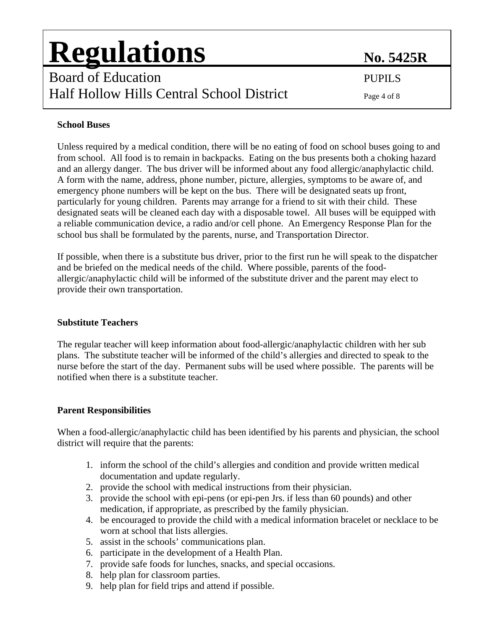## Board of Education PUPILS Board of Education PUPILS Half Hollow Hills Central School District Half Hollow Hills Central School District Page 4 of 8

### **School Buses**

Unless required by a medical condition, there will be no eating of food on school buses going to and from school. All food is to remain in backpacks. Eating on the bus presents both a choking hazard and an allergy danger. The bus driver will be informed about any food allergic/anaphylactic child. A form with the name, address, phone number, picture, allergies, symptoms to be aware of, and emergency phone numbers will be kept on the bus. There will be designated seats up front, particularly for young children. Parents may arrange for a friend to sit with their child. These designated seats will be cleaned each day with a disposable towel. All buses will be equipped with a reliable communication device, a radio and/or cell phone. An Emergency Response Plan for the school bus shall be formulated by the parents, nurse, and Transportation Director.

If possible, when there is a substitute bus driver, prior to the first run he will speak to the dispatcher and be briefed on the medical needs of the child. Where possible, parents of the foodallergic/anaphylactic child will be informed of the substitute driver and the parent may elect to provide their own transportation.

### **Substitute Teachers**

The regular teacher will keep information about food-allergic/anaphylactic children with her sub plans. The substitute teacher will be informed of the child's allergies and directed to speak to the nurse before the start of the day. Permanent subs will be used where possible. The parents will be notified when there is a substitute teacher.

#### **Parent Responsibilities**

When a food-allergic/anaphylactic child has been identified by his parents and physician, the school district will require that the parents:

- 1. inform the school of the child's allergies and condition and provide written medical documentation and update regularly.
- 2. provide the school with medical instructions from their physician.
- 3. provide the school with epi-pens (or epi-pen Jrs. if less than 60 pounds) and other medication, if appropriate, as prescribed by the family physician.
- 4. be encouraged to provide the child with a medical information bracelet or necklace to be worn at school that lists allergies.
- 5. assist in the schools' communications plan.
- 6. participate in the development of a Health Plan.
- 7. provide safe foods for lunches, snacks, and special occasions.
- 8. help plan for classroom parties.
- 9. help plan for field trips and attend if possible.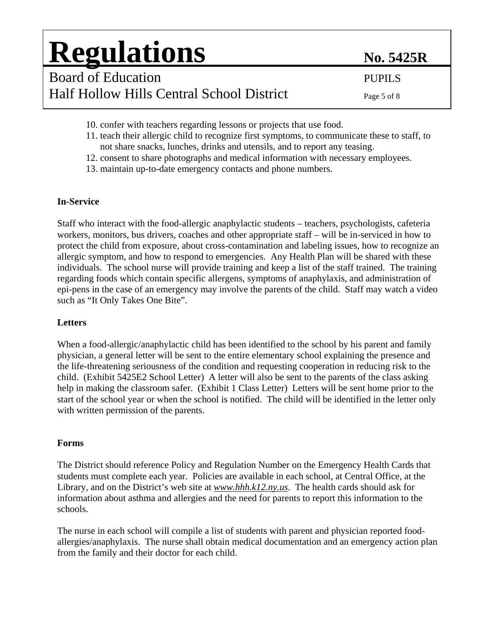Board of Education PUPILS Board of Education PUPILS Half Hollow Hills Central School District Half Hollow Hills Central School District Page 5 of 8

- 10. confer with teachers regarding lessons or projects that use food.
- 11. teach their allergic child to recognize first symptoms, to communicate these to staff, to not share snacks, lunches, drinks and utensils, and to report any teasing.
- 12. consent to share photographs and medical information with necessary employees.
- 13. maintain up-to-date emergency contacts and phone numbers.

#### **In-Service**

Staff who interact with the food-allergic anaphylactic students – teachers, psychologists, cafeteria workers, monitors, bus drivers, coaches and other appropriate staff – will be in-serviced in how to protect the child from exposure, about cross-contamination and labeling issues, how to recognize an allergic symptom, and how to respond to emergencies. Any Health Plan will be shared with these individuals. The school nurse will provide training and keep a list of the staff trained. The training regarding foods which contain specific allergens, symptoms of anaphylaxis, and administration of epi-pens in the case of an emergency may involve the parents of the child. Staff may watch a video such as "It Only Takes One Bite".

#### **Letters**

When a food-allergic/anaphylactic child has been identified to the school by his parent and family physician, a general letter will be sent to the entire elementary school explaining the presence and the life-threatening seriousness of the condition and requesting cooperation in reducing risk to the child. (Exhibit 5425E2 School Letter) A letter will also be sent to the parents of the class asking help in making the classroom safer. (Exhibit 1 Class Letter) Letters will be sent home prior to the start of the school year or when the school is notified. The child will be identified in the letter only with written permission of the parents.

#### **Forms**

The District should reference Policy and Regulation Number on the Emergency Health Cards that students must complete each year. Policies are available in each school, at Central Office, at the Library, and on the District's web site at *[www.hhh.k12.ny.us](http://www.hhh.k12.ny.us/)*. The health cards should ask for information about asthma and allergies and the need for parents to report this information to the schools.

The nurse in each school will compile a list of students with parent and physician reported foodallergies/anaphylaxis. The nurse shall obtain medical documentation and an emergency action plan from the family and their doctor for each child.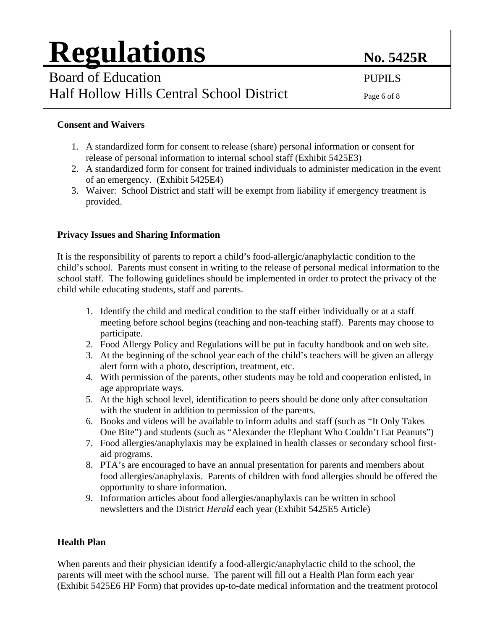### **Consent and Waivers**

- 1. A standardized form for consent to release (share) personal information or consent for release of personal information to internal school staff (Exhibit 5425E3)
- 2. A standardized form for consent for trained individuals to administer medication in the event of an emergency. (Exhibit 5425E4)
- 3. Waiver: School District and staff will be exempt from liability if emergency treatment is provided.

### **Privacy Issues and Sharing Information**

It is the responsibility of parents to report a child's food-allergic/anaphylactic condition to the child's school. Parents must consent in writing to the release of personal medical information to the school staff. The following guidelines should be implemented in order to protect the privacy of the child while educating students, staff and parents.

- 1. Identify the child and medical condition to the staff either individually or at a staff meeting before school begins (teaching and non-teaching staff). Parents may choose to participate.
- 2. Food Allergy Policy and Regulations will be put in faculty handbook and on web site.
- 3. At the beginning of the school year each of the child's teachers will be given an allergy alert form with a photo, description, treatment, etc.
- 4. With permission of the parents, other students may be told and cooperation enlisted, in age appropriate ways.
- 5. At the high school level, identification to peers should be done only after consultation with the student in addition to permission of the parents.
- 6. Books and videos will be available to inform adults and staff (such as "It Only Takes One Bite") and students (such as "Alexander the Elephant Who Couldn't Eat Peanuts")
- 7. Food allergies/anaphylaxis may be explained in health classes or secondary school firstaid programs.
- 8. PTA's are encouraged to have an annual presentation for parents and members about food allergies/anaphylaxis. Parents of children with food allergies should be offered the opportunity to share information.
- 9. Information articles about food allergies/anaphylaxis can be written in school newsletters and the District *Herald* each year (Exhibit 5425E5 Article)

#### **Health Plan**

When parents and their physician identify a food-allergic/anaphylactic child to the school, the parents will meet with the school nurse. The parent will fill out a Health Plan form each year (Exhibit 5425E6 HP Form) that provides up-to-date medical information and the treatment protocol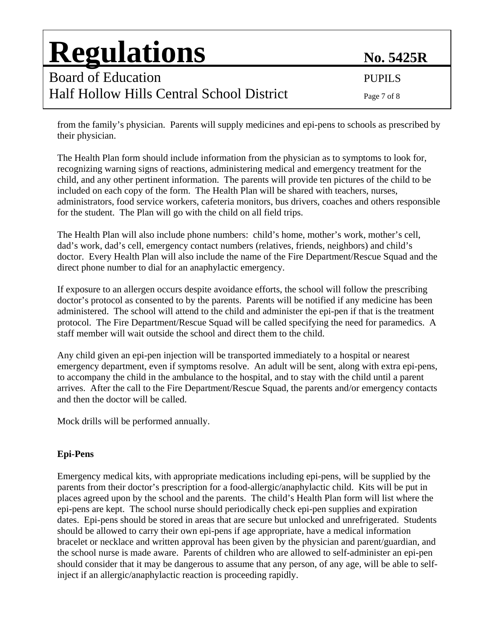Board of Education PUPILS Board of Education PUPILS Half Hollow Hills Central School District Page 7 of 8

from the family's physician. Parents will supply medicines and epi-pens to schools as prescribed by their physician.

The Health Plan form should include information from the physician as to symptoms to look for, recognizing warning signs of reactions, administering medical and emergency treatment for the child, and any other pertinent information. The parents will provide ten pictures of the child to be included on each copy of the form. The Health Plan will be shared with teachers, nurses, administrators, food service workers, cafeteria monitors, bus drivers, coaches and others responsible for the student. The Plan will go with the child on all field trips.

The Health Plan will also include phone numbers: child's home, mother's work, mother's cell, dad's work, dad's cell, emergency contact numbers (relatives, friends, neighbors) and child's doctor. Every Health Plan will also include the name of the Fire Department/Rescue Squad and the direct phone number to dial for an anaphylactic emergency.

If exposure to an allergen occurs despite avoidance efforts, the school will follow the prescribing doctor's protocol as consented to by the parents. Parents will be notified if any medicine has been administered. The school will attend to the child and administer the epi-pen if that is the treatment protocol. The Fire Department/Rescue Squad will be called specifying the need for paramedics. A staff member will wait outside the school and direct them to the child.

Any child given an epi-pen injection will be transported immediately to a hospital or nearest emergency department, even if symptoms resolve. An adult will be sent, along with extra epi-pens, to accompany the child in the ambulance to the hospital, and to stay with the child until a parent arrives. After the call to the Fire Department/Rescue Squad, the parents and/or emergency contacts and then the doctor will be called.

Mock drills will be performed annually.

### **Epi-Pens**

Emergency medical kits, with appropriate medications including epi-pens, will be supplied by the parents from their doctor's prescription for a food-allergic/anaphylactic child. Kits will be put in places agreed upon by the school and the parents. The child's Health Plan form will list where the epi-pens are kept. The school nurse should periodically check epi-pen supplies and expiration dates. Epi-pens should be stored in areas that are secure but unlocked and unrefrigerated. Students should be allowed to carry their own epi-pens if age appropriate, have a medical information bracelet or necklace and written approval has been given by the physician and parent/guardian, and the school nurse is made aware. Parents of children who are allowed to self-administer an epi-pen should consider that it may be dangerous to assume that any person, of any age, will be able to selfinject if an allergic/anaphylactic reaction is proceeding rapidly.